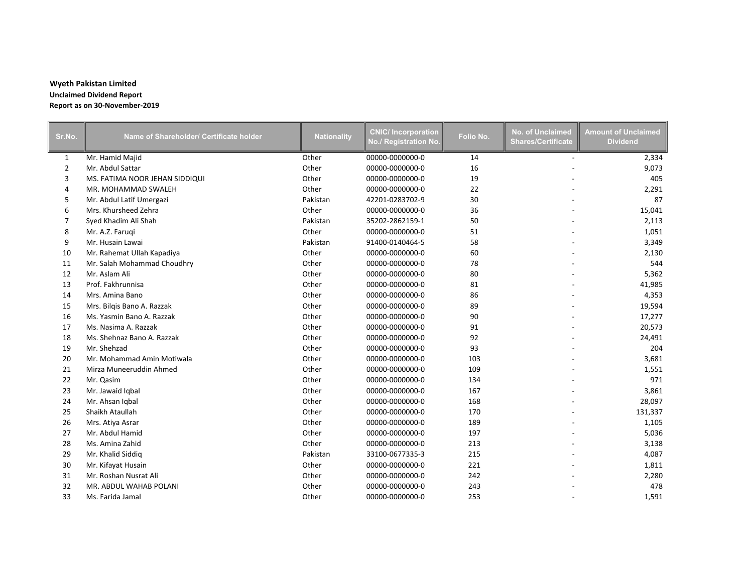## **Wyeth Pakistan Limited Unclaimed Dividend Report Report as on 30-November-2019**

| Sr.No.         | Name of Shareholder/ Certificate holder | <b>Nationality</b> | <b>CNIC/Incorporation</b><br>No./ Registration No. | Folio No. | No. of Unclaimed<br><b>Shares/Certificate</b> | <b>Amount of Unclaimed</b><br><b>Dividend</b> |
|----------------|-----------------------------------------|--------------------|----------------------------------------------------|-----------|-----------------------------------------------|-----------------------------------------------|
| $\mathbf{1}$   | Mr. Hamid Majid                         | Other              | 00000-0000000-0                                    | 14        |                                               | 2,334                                         |
| $\overline{2}$ | Mr. Abdul Sattar                        | Other              | 00000-0000000-0                                    | 16        |                                               | 9,073                                         |
| 3              | MS. FATIMA NOOR JEHAN SIDDIQUI          | Other              | 00000-0000000-0                                    | 19        |                                               | 405                                           |
| 4              | MR. MOHAMMAD SWALEH                     | Other              | 00000-0000000-0                                    | 22        |                                               | 2,291                                         |
| 5              | Mr. Abdul Latif Umergazi                | Pakistan           | 42201-0283702-9                                    | 30        |                                               | 87                                            |
| 6              | Mrs. Khursheed Zehra                    | Other              | 00000-0000000-0                                    | 36        |                                               | 15,041                                        |
| $\overline{7}$ | Syed Khadim Ali Shah                    | Pakistan           | 35202-2862159-1                                    | 50        |                                               | 2,113                                         |
| 8              | Mr. A.Z. Faruqi                         | Other              | 00000-0000000-0                                    | 51        |                                               | 1,051                                         |
| 9              | Mr. Husain Lawai                        | Pakistan           | 91400-0140464-5                                    | 58        |                                               | 3,349                                         |
| 10             | Mr. Rahemat Ullah Kapadiya              | Other              | 00000-0000000-0                                    | 60        |                                               | 2,130                                         |
| 11             | Mr. Salah Mohammad Choudhry             | Other              | 00000-0000000-0                                    | 78        |                                               | 544                                           |
| 12             | Mr. Aslam Ali                           | Other              | 00000-0000000-0                                    | 80        |                                               | 5,362                                         |
| 13             | Prof. Fakhrunnisa                       | Other              | 00000-0000000-0                                    | 81        |                                               | 41,985                                        |
| 14             | Mrs. Amina Bano                         | Other              | 00000-0000000-0                                    | 86        |                                               | 4,353                                         |
| 15             | Mrs. Bilgis Bano A. Razzak              | Other              | 00000-0000000-0                                    | 89        |                                               | 19,594                                        |
| 16             | Ms. Yasmin Bano A. Razzak               | Other              | 00000-0000000-0                                    | 90        |                                               | 17,277                                        |
| 17             | Ms. Nasima A. Razzak                    | Other              | 00000-0000000-0                                    | 91        |                                               | 20,573                                        |
| 18             | Ms. Shehnaz Bano A. Razzak              | Other              | 00000-0000000-0                                    | 92        |                                               | 24,491                                        |
| 19             | Mr. Shehzad                             | Other              | 00000-0000000-0                                    | 93        |                                               | 204                                           |
| 20             | Mr. Mohammad Amin Motiwala              | Other              | 00000-0000000-0                                    | 103       |                                               | 3,681                                         |
| 21             | Mirza Muneeruddin Ahmed                 | Other              | 00000-0000000-0                                    | 109       |                                               | 1,551                                         |
| 22             | Mr. Qasim                               | Other              | 00000-0000000-0                                    | 134       |                                               | 971                                           |
| 23             | Mr. Jawaid Iqbal                        | Other              | 00000-0000000-0                                    | 167       |                                               | 3,861                                         |
| 24             | Mr. Ahsan Iqbal                         | Other              | 00000-0000000-0                                    | 168       |                                               | 28,097                                        |
| 25             | Shaikh Ataullah                         | Other              | 00000-0000000-0                                    | 170       |                                               | 131,337                                       |
| 26             | Mrs. Atiya Asrar                        | Other              | 00000-0000000-0                                    | 189       |                                               | 1,105                                         |
| 27             | Mr. Abdul Hamid                         | Other              | 00000-0000000-0                                    | 197       |                                               | 5,036                                         |
| 28             | Ms. Amina Zahid                         | Other              | 00000-0000000-0                                    | 213       |                                               | 3,138                                         |
| 29             | Mr. Khalid Siddig                       | Pakistan           | 33100-0677335-3                                    | 215       |                                               | 4,087                                         |
| 30             | Mr. Kifayat Husain                      | Other              | 00000-0000000-0                                    | 221       |                                               | 1,811                                         |
| 31             | Mr. Roshan Nusrat Ali                   | Other              | 00000-0000000-0                                    | 242       |                                               | 2,280                                         |
| 32             | MR. ABDUL WAHAB POLANI                  | Other              | 00000-0000000-0                                    | 243       |                                               | 478                                           |
| 33             | Ms. Farida Jamal                        | Other              | 00000-0000000-0                                    | 253       |                                               | 1,591                                         |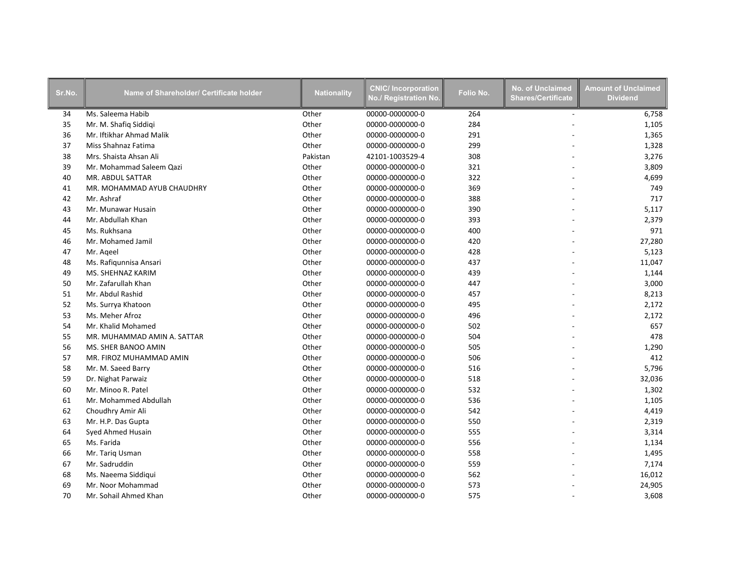| Sr.No. | Name of Shareholder/ Certificate holder | <b>Nationality</b> | <b>CNIC/Incorporation</b><br>No./ Registration No. | Folio No. | No. of Unclaimed<br><b>Shares/Certificate</b> | <b>Amount of Unclaimed</b><br><b>Dividend</b> |
|--------|-----------------------------------------|--------------------|----------------------------------------------------|-----------|-----------------------------------------------|-----------------------------------------------|
| 34     | Ms. Saleema Habib                       | Other              | 00000-0000000-0                                    | 264       | $\overline{\phantom{a}}$                      | 6,758                                         |
| 35     | Mr. M. Shafiq Siddiqi                   | Other              | 00000-0000000-0                                    | 284       |                                               | 1,105                                         |
| 36     | Mr. Iftikhar Ahmad Malik                | Other              | 00000-0000000-0                                    | 291       |                                               | 1,365                                         |
| 37     | Miss Shahnaz Fatima                     | Other              | 00000-0000000-0                                    | 299       |                                               | 1,328                                         |
| 38     | Mrs. Shaista Ahsan Ali                  | Pakistan           | 42101-1003529-4                                    | 308       |                                               | 3,276                                         |
| 39     | Mr. Mohammad Saleem Qazi                | Other              | 00000-0000000-0                                    | 321       |                                               | 3,809                                         |
| 40     | MR. ABDUL SATTAR                        | Other              | 00000-0000000-0                                    | 322       |                                               | 4,699                                         |
| 41     | MR. MOHAMMAD AYUB CHAUDHRY              | Other              | 00000-0000000-0                                    | 369       |                                               | 749                                           |
| 42     | Mr. Ashraf                              | Other              | 00000-0000000-0                                    | 388       |                                               | 717                                           |
| 43     | Mr. Munawar Husain                      | Other              | 00000-0000000-0                                    | 390       |                                               | 5,117                                         |
| 44     | Mr. Abdullah Khan                       | Other              | 00000-0000000-0                                    | 393       |                                               | 2,379                                         |
| 45     | Ms. Rukhsana                            | Other              | 00000-0000000-0                                    | 400       |                                               | 971                                           |
| 46     | Mr. Mohamed Jamil                       | Other              | 00000-0000000-0                                    | 420       |                                               | 27,280                                        |
| 47     | Mr. Ageel                               | Other              | 00000-0000000-0                                    | 428       |                                               | 5,123                                         |
| 48     | Ms. Rafigunnisa Ansari                  | Other              | 00000-0000000-0                                    | 437       |                                               | 11,047                                        |
| 49     | MS. SHEHNAZ KARIM                       | Other              | 00000-0000000-0                                    | 439       |                                               | 1,144                                         |
| 50     | Mr. Zafarullah Khan                     | Other              | 00000-0000000-0                                    | 447       |                                               | 3,000                                         |
| 51     | Mr. Abdul Rashid                        | Other              | 00000-0000000-0                                    | 457       |                                               | 8,213                                         |
| 52     | Ms. Surrya Khatoon                      | Other              | 00000-0000000-0                                    | 495       |                                               | 2,172                                         |
| 53     | Ms. Meher Afroz                         | Other              | 00000-0000000-0                                    | 496       |                                               | 2,172                                         |
| 54     | Mr. Khalid Mohamed                      | Other              | 00000-0000000-0                                    | 502       |                                               | 657                                           |
| 55     | MR. MUHAMMAD AMIN A. SATTAR             | Other              | 00000-0000000-0                                    | 504       |                                               | 478                                           |
| 56     | MS. SHER BANOO AMIN                     | Other              | 00000-0000000-0                                    | 505       |                                               | 1,290                                         |
| 57     | MR. FIROZ MUHAMMAD AMIN                 | Other              | 00000-0000000-0                                    | 506       |                                               | 412                                           |
| 58     | Mr. M. Saeed Barry                      | Other              | 00000-0000000-0                                    | 516       |                                               | 5,796                                         |
| 59     | Dr. Nighat Parwaiz                      | Other              | 00000-0000000-0                                    | 518       |                                               | 32,036                                        |
| 60     | Mr. Minoo R. Patel                      | Other              | 00000-0000000-0                                    | 532       |                                               | 1,302                                         |
| 61     | Mr. Mohammed Abdullah                   | Other              | 00000-0000000-0                                    | 536       |                                               | 1,105                                         |
| 62     | Choudhry Amir Ali                       | Other              | 00000-0000000-0                                    | 542       |                                               | 4,419                                         |
| 63     | Mr. H.P. Das Gupta                      | Other              | 00000-0000000-0                                    | 550       |                                               | 2,319                                         |
| 64     | Syed Ahmed Husain                       | Other              | 00000-0000000-0                                    | 555       |                                               | 3,314                                         |
| 65     | Ms. Farida                              | Other              | 00000-0000000-0                                    | 556       |                                               | 1,134                                         |
| 66     | Mr. Tariq Usman                         | Other              | 00000-0000000-0                                    | 558       |                                               | 1,495                                         |
| 67     | Mr. Sadruddin                           | Other              | 00000-0000000-0                                    | 559       |                                               | 7,174                                         |
| 68     | Ms. Naeema Siddiqui                     | Other              | 00000-0000000-0                                    | 562       |                                               | 16,012                                        |
| 69     | Mr. Noor Mohammad                       | Other              | 00000-0000000-0                                    | 573       |                                               | 24,905                                        |
| 70     | Mr. Sohail Ahmed Khan                   | Other              | 00000-0000000-0                                    | 575       |                                               | 3,608                                         |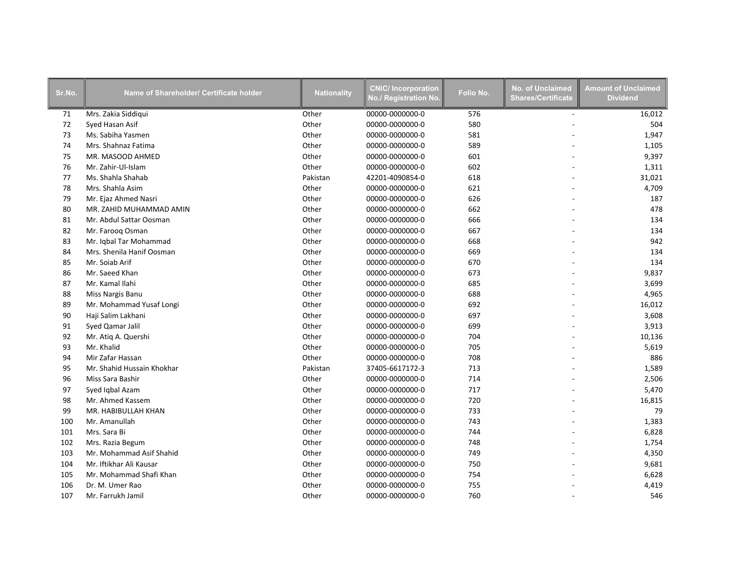| Sr.No. | Name of Shareholder/ Certificate holder | <b>Nationality</b> | <b>CNIC/Incorporation</b><br>No./ Registration No. | Folio No. | <b>No. of Unclaimed</b><br><b>Shares/Certificate</b> | <b>Amount of Unclaimed</b><br><b>Dividend</b> |
|--------|-----------------------------------------|--------------------|----------------------------------------------------|-----------|------------------------------------------------------|-----------------------------------------------|
| 71     | Mrs. Zakia Siddiqui                     | Other              | 00000-0000000-0                                    | 576       | $\overline{\phantom{a}}$                             | 16,012                                        |
| 72     | Syed Hasan Asif                         | Other              | 00000-0000000-0                                    | 580       |                                                      | 504                                           |
| 73     | Ms. Sabiha Yasmen                       | Other              | 00000-0000000-0                                    | 581       |                                                      | 1,947                                         |
| 74     | Mrs. Shahnaz Fatima                     | Other              | 00000-0000000-0                                    | 589       |                                                      | 1,105                                         |
| 75     | MR. MASOOD AHMED                        | Other              | 00000-0000000-0                                    | 601       |                                                      | 9,397                                         |
| 76     | Mr. Zahir-Ul-Islam                      | Other              | 00000-0000000-0                                    | 602       |                                                      | 1,311                                         |
| 77     | Ms. Shahla Shahab                       | Pakistan           | 42201-4090854-0                                    | 618       |                                                      | 31,021                                        |
| 78     | Mrs. Shahla Asim                        | Other              | 00000-0000000-0                                    | 621       |                                                      | 4,709                                         |
| 79     | Mr. Ejaz Ahmed Nasri                    | Other              | 00000-0000000-0                                    | 626       |                                                      | 187                                           |
| 80     | MR. ZAHID MUHAMMAD AMIN                 | Other              | 00000-0000000-0                                    | 662       |                                                      | 478                                           |
| 81     | Mr. Abdul Sattar Oosman                 | Other              | 00000-0000000-0                                    | 666       |                                                      | 134                                           |
| 82     | Mr. Farooq Osman                        | Other              | 00000-0000000-0                                    | 667       |                                                      | 134                                           |
| 83     | Mr. Iqbal Tar Mohammad                  | Other              | 00000-0000000-0                                    | 668       |                                                      | 942                                           |
| 84     | Mrs. Shenila Hanif Oosman               | Other              | 00000-0000000-0                                    | 669       |                                                      | 134                                           |
| 85     | Mr. Soiab Arif                          | Other              | 00000-0000000-0                                    | 670       |                                                      | 134                                           |
| 86     | Mr. Saeed Khan                          | Other              | 00000-0000000-0                                    | 673       |                                                      | 9,837                                         |
| 87     | Mr. Kamal Ilahi                         | Other              | 00000-0000000-0                                    | 685       |                                                      | 3,699                                         |
| 88     | Miss Nargis Banu                        | Other              | 00000-0000000-0                                    | 688       |                                                      | 4,965                                         |
| 89     | Mr. Mohammad Yusaf Longi                | Other              | 00000-0000000-0                                    | 692       |                                                      | 16,012                                        |
| 90     | Haji Salim Lakhani                      | Other              | 00000-0000000-0                                    | 697       |                                                      | 3,608                                         |
| 91     | Syed Qamar Jalil                        | Other              | 00000-0000000-0                                    | 699       |                                                      | 3,913                                         |
| 92     | Mr. Atiq A. Quershi                     | Other              | 00000-0000000-0                                    | 704       |                                                      | 10,136                                        |
| 93     | Mr. Khalid                              | Other              | 00000-0000000-0                                    | 705       |                                                      | 5,619                                         |
| 94     | Mir Zafar Hassan                        | Other              | 00000-0000000-0                                    | 708       |                                                      | 886                                           |
| 95     | Mr. Shahid Hussain Khokhar              | Pakistan           | 37405-6617172-3                                    | 713       |                                                      | 1,589                                         |
| 96     | Miss Sara Bashir                        | Other              | 00000-0000000-0                                    | 714       |                                                      | 2,506                                         |
| 97     | Syed Iqbal Azam                         | Other              | 00000-0000000-0                                    | 717       |                                                      | 5,470                                         |
| 98     | Mr. Ahmed Kassem                        | Other              | 00000-0000000-0                                    | 720       |                                                      | 16,815                                        |
| 99     | MR. HABIBULLAH KHAN                     | Other              | 00000-0000000-0                                    | 733       |                                                      | 79                                            |
| 100    | Mr. Amanullah                           | Other              | 00000-0000000-0                                    | 743       |                                                      | 1,383                                         |
| 101    | Mrs. Sara Bi                            | Other              | 00000-0000000-0                                    | 744       |                                                      | 6,828                                         |
| 102    | Mrs. Razia Begum                        | Other              | 00000-0000000-0                                    | 748       |                                                      | 1,754                                         |
| 103    | Mr. Mohammad Asif Shahid                | Other              | 00000-0000000-0                                    | 749       |                                                      | 4,350                                         |
| 104    | Mr. Iftikhar Ali Kausar                 | Other              | 00000-0000000-0                                    | 750       |                                                      | 9,681                                         |
| 105    | Mr. Mohammad Shafi Khan                 | Other              | 00000-0000000-0                                    | 754       |                                                      | 6,628                                         |
| 106    | Dr. M. Umer Rao                         | Other              | 00000-0000000-0                                    | 755       |                                                      | 4,419                                         |
| 107    | Mr. Farrukh Jamil                       | Other              | 00000-0000000-0                                    | 760       |                                                      | 546                                           |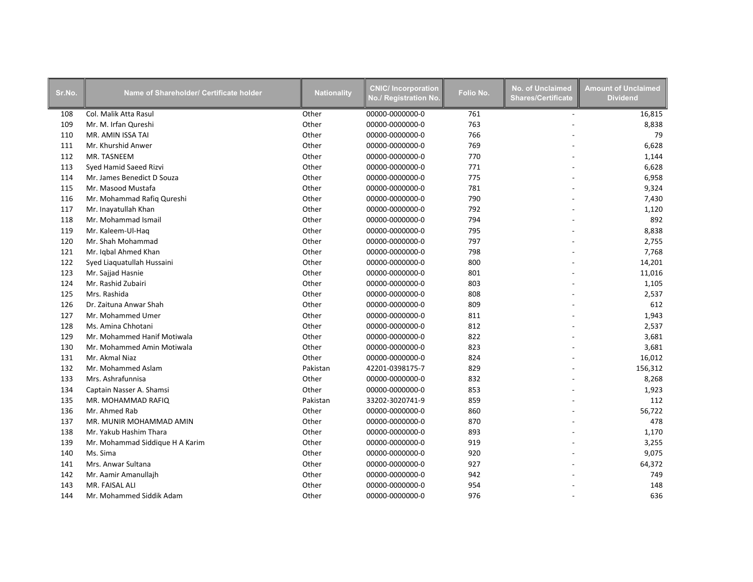| Sr.No. | Name of Shareholder/ Certificate holder | <b>Nationality</b> | <b>CNIC/Incorporation</b><br>No./ Registration No. | Folio No. | <b>No. of Unclaimed</b><br><b>Shares/Certificate</b> | <b>Amount of Unclaimed</b><br><b>Dividend</b> |
|--------|-----------------------------------------|--------------------|----------------------------------------------------|-----------|------------------------------------------------------|-----------------------------------------------|
| 108    | Col. Malik Atta Rasul                   | Other              | 00000-0000000-0                                    | 761       | $\sim$                                               | 16,815                                        |
| 109    | Mr. M. Irfan Qureshi                    | Other              | 00000-0000000-0                                    | 763       |                                                      | 8,838                                         |
| 110    | MR. AMIN ISSA TAI                       | Other              | 00000-0000000-0                                    | 766       |                                                      | 79                                            |
| 111    | Mr. Khurshid Anwer                      | Other              | 00000-0000000-0                                    | 769       |                                                      | 6,628                                         |
| 112    | MR. TASNEEM                             | Other              | 00000-0000000-0                                    | 770       |                                                      | 1,144                                         |
| 113    | Syed Hamid Saeed Rizvi                  | Other              | 00000-0000000-0                                    | 771       |                                                      | 6,628                                         |
| 114    | Mr. James Benedict D Souza              | Other              | 00000-0000000-0                                    | 775       |                                                      | 6,958                                         |
| 115    | Mr. Masood Mustafa                      | Other              | 00000-0000000-0                                    | 781       |                                                      | 9,324                                         |
| 116    | Mr. Mohammad Rafiq Qureshi              | Other              | 00000-0000000-0                                    | 790       |                                                      | 7,430                                         |
| 117    | Mr. Inayatullah Khan                    | Other              | 00000-0000000-0                                    | 792       |                                                      | 1,120                                         |
| 118    | Mr. Mohammad Ismail                     | Other              | 00000-0000000-0                                    | 794       |                                                      | 892                                           |
| 119    | Mr. Kaleem-Ul-Haq                       | Other              | 00000-0000000-0                                    | 795       |                                                      | 8,838                                         |
| 120    | Mr. Shah Mohammad                       | Other              | 00000-0000000-0                                    | 797       |                                                      | 2,755                                         |
| 121    | Mr. Iqbal Ahmed Khan                    | Other              | 00000-0000000-0                                    | 798       |                                                      | 7,768                                         |
| 122    | Syed Liaquatullah Hussaini              | Other              | 00000-0000000-0                                    | 800       |                                                      | 14,201                                        |
| 123    | Mr. Sajjad Hasnie                       | Other              | 00000-0000000-0                                    | 801       |                                                      | 11,016                                        |
| 124    | Mr. Rashid Zubairi                      | Other              | 00000-0000000-0                                    | 803       |                                                      | 1,105                                         |
| 125    | Mrs. Rashida                            | Other              | 00000-0000000-0                                    | 808       |                                                      | 2,537                                         |
| 126    | Dr. Zaituna Anwar Shah                  | Other              | 00000-0000000-0                                    | 809       |                                                      | 612                                           |
| 127    | Mr. Mohammed Umer                       | Other              | 00000-0000000-0                                    | 811       |                                                      | 1,943                                         |
| 128    | Ms. Amina Chhotani                      | Other              | 00000-0000000-0                                    | 812       |                                                      | 2,537                                         |
| 129    | Mr. Mohammed Hanif Motiwala             | Other              | 00000-0000000-0                                    | 822       |                                                      | 3,681                                         |
| 130    | Mr. Mohammed Amin Motiwala              | Other              | 00000-0000000-0                                    | 823       |                                                      | 3,681                                         |
| 131    | Mr. Akmal Niaz                          | Other              | 00000-0000000-0                                    | 824       |                                                      | 16,012                                        |
| 132    | Mr. Mohammed Aslam                      | Pakistan           | 42201-0398175-7                                    | 829       |                                                      | 156,312                                       |
| 133    | Mrs. Ashrafunnisa                       | Other              | 00000-0000000-0                                    | 832       |                                                      | 8,268                                         |
| 134    | Captain Nasser A. Shamsi                | Other              | 00000-0000000-0                                    | 853       |                                                      | 1,923                                         |
| 135    | MR. MOHAMMAD RAFIQ                      | Pakistan           | 33202-3020741-9                                    | 859       |                                                      | 112                                           |
| 136    | Mr. Ahmed Rab                           | Other              | 00000-0000000-0                                    | 860       |                                                      | 56,722                                        |
| 137    | MR. MUNIR MOHAMMAD AMIN                 | Other              | 00000-0000000-0                                    | 870       |                                                      | 478                                           |
| 138    | Mr. Yakub Hashim Thara                  | Other              | 00000-0000000-0                                    | 893       |                                                      | 1,170                                         |
| 139    | Mr. Mohammad Siddique H A Karim         | Other              | 00000-0000000-0                                    | 919       |                                                      | 3,255                                         |
| 140    | Ms. Sima                                | Other              | 00000-0000000-0                                    | 920       |                                                      | 9,075                                         |
| 141    | Mrs. Anwar Sultana                      | Other              | 00000-0000000-0                                    | 927       |                                                      | 64,372                                        |
| 142    | Mr. Aamir Amanullajh                    | Other              | 00000-0000000-0                                    | 942       |                                                      | 749                                           |
| 143    | MR. FAISAL ALI                          | Other              | 00000-0000000-0                                    | 954       |                                                      | 148                                           |
| 144    | Mr. Mohammed Siddik Adam                | Other              | 00000-0000000-0                                    | 976       |                                                      | 636                                           |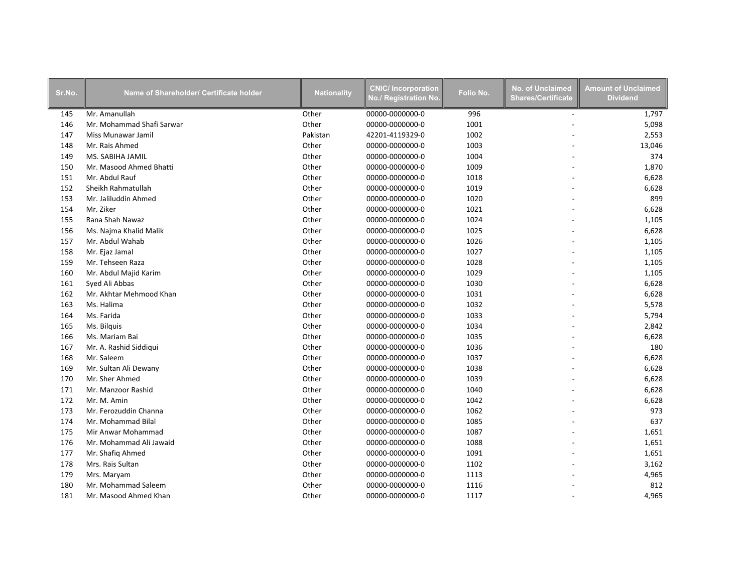| Sr.No. | Name of Shareholder/ Certificate holder | <b>Nationality</b> | <b>CNIC/Incorporation</b><br>No./ Registration No. | Folio No. | <b>No. of Unclaimed</b><br><b>Shares/Certificate</b> | <b>Amount of Unclaimed</b><br><b>Dividend</b> |
|--------|-----------------------------------------|--------------------|----------------------------------------------------|-----------|------------------------------------------------------|-----------------------------------------------|
| 145    | Mr. Amanullah                           | Other              | 00000-0000000-0                                    | 996       | $\sim$                                               | 1,797                                         |
| 146    | Mr. Mohammad Shafi Sarwar               | Other              | 00000-0000000-0                                    | 1001      |                                                      | 5,098                                         |
| 147    | Miss Munawar Jamil                      | Pakistan           | 42201-4119329-0                                    | 1002      |                                                      | 2,553                                         |
| 148    | Mr. Rais Ahmed                          | Other              | 00000-0000000-0                                    | 1003      |                                                      | 13,046                                        |
| 149    | MS. SABIHA JAMIL                        | Other              | 00000-0000000-0                                    | 1004      |                                                      | 374                                           |
| 150    | Mr. Masood Ahmed Bhatti                 | Other              | 00000-0000000-0                                    | 1009      |                                                      | 1,870                                         |
| 151    | Mr. Abdul Rauf                          | Other              | 00000-0000000-0                                    | 1018      |                                                      | 6,628                                         |
| 152    | Sheikh Rahmatullah                      | Other              | 00000-0000000-0                                    | 1019      |                                                      | 6,628                                         |
| 153    | Mr. Jaliluddin Ahmed                    | Other              | 00000-0000000-0                                    | 1020      |                                                      | 899                                           |
| 154    | Mr. Ziker                               | Other              | 00000-0000000-0                                    | 1021      |                                                      | 6,628                                         |
| 155    | Rana Shah Nawaz                         | Other              | 00000-0000000-0                                    | 1024      |                                                      | 1,105                                         |
| 156    | Ms. Najma Khalid Malik                  | Other              | 00000-0000000-0                                    | 1025      |                                                      | 6,628                                         |
| 157    | Mr. Abdul Wahab                         | Other              | 00000-0000000-0                                    | 1026      |                                                      | 1,105                                         |
| 158    | Mr. Ejaz Jamal                          | Other              | 00000-0000000-0                                    | 1027      |                                                      | 1,105                                         |
| 159    | Mr. Tehseen Raza                        | Other              | 00000-0000000-0                                    | 1028      |                                                      | 1,105                                         |
| 160    | Mr. Abdul Majid Karim                   | Other              | 00000-0000000-0                                    | 1029      |                                                      | 1,105                                         |
| 161    | Syed Ali Abbas                          | Other              | 00000-0000000-0                                    | 1030      |                                                      | 6,628                                         |
| 162    | Mr. Akhtar Mehmood Khan                 | Other              | 00000-0000000-0                                    | 1031      |                                                      | 6,628                                         |
| 163    | Ms. Halima                              | Other              | 00000-0000000-0                                    | 1032      |                                                      | 5,578                                         |
| 164    | Ms. Farida                              | Other              | 00000-0000000-0                                    | 1033      |                                                      | 5,794                                         |
| 165    | Ms. Bilquis                             | Other              | 00000-0000000-0                                    | 1034      |                                                      | 2,842                                         |
| 166    | Ms. Mariam Bai                          | Other              | 00000-0000000-0                                    | 1035      |                                                      | 6,628                                         |
| 167    | Mr. A. Rashid Siddiqui                  | Other              | 00000-0000000-0                                    | 1036      |                                                      | 180                                           |
| 168    | Mr. Saleem                              | Other              | 00000-0000000-0                                    | 1037      |                                                      | 6,628                                         |
| 169    | Mr. Sultan Ali Dewany                   | Other              | 00000-0000000-0                                    | 1038      |                                                      | 6,628                                         |
| 170    | Mr. Sher Ahmed                          | Other              | 00000-0000000-0                                    | 1039      |                                                      | 6,628                                         |
| 171    | Mr. Manzoor Rashid                      | Other              | 00000-0000000-0                                    | 1040      |                                                      | 6,628                                         |
| 172    | Mr. M. Amin                             | Other              | 00000-0000000-0                                    | 1042      |                                                      | 6,628                                         |
| 173    | Mr. Ferozuddin Channa                   | Other              | 00000-0000000-0                                    | 1062      |                                                      | 973                                           |
| 174    | Mr. Mohammad Bilal                      | Other              | 00000-0000000-0                                    | 1085      |                                                      | 637                                           |
| 175    | Mir Anwar Mohammad                      | Other              | 00000-0000000-0                                    | 1087      |                                                      | 1,651                                         |
| 176    | Mr. Mohammad Ali Jawaid                 | Other              | 00000-0000000-0                                    | 1088      |                                                      | 1,651                                         |
| 177    | Mr. Shafiq Ahmed                        | Other              | 00000-0000000-0                                    | 1091      |                                                      | 1,651                                         |
| 178    | Mrs. Rais Sultan                        | Other              | 00000-0000000-0                                    | 1102      |                                                      | 3,162                                         |
| 179    | Mrs. Maryam                             | Other              | 00000-0000000-0                                    | 1113      |                                                      | 4,965                                         |
| 180    | Mr. Mohammad Saleem                     | Other              | 00000-0000000-0                                    | 1116      |                                                      | 812                                           |
| 181    | Mr. Masood Ahmed Khan                   | Other              | 00000-0000000-0                                    | 1117      |                                                      | 4,965                                         |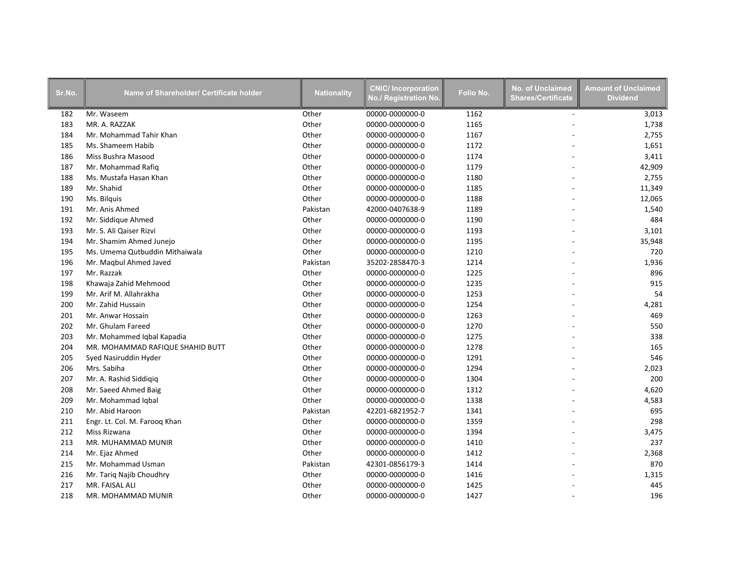| Sr.No. | Name of Shareholder/ Certificate holder | <b>Nationality</b> | <b>CNIC/Incorporation</b><br>No./ Registration No. | Folio No. | <b>No. of Unclaimed</b><br><b>Shares/Certificate</b> | <b>Amount of Unclaimed</b><br><b>Dividend</b> |
|--------|-----------------------------------------|--------------------|----------------------------------------------------|-----------|------------------------------------------------------|-----------------------------------------------|
| 182    | Mr. Waseem                              | Other              | 00000-0000000-0                                    | 1162      | $\sim$                                               | 3,013                                         |
| 183    | MR. A. RAZZAK                           | Other              | 00000-0000000-0                                    | 1165      |                                                      | 1,738                                         |
| 184    | Mr. Mohammad Tahir Khan                 | Other              | 00000-0000000-0                                    | 1167      |                                                      | 2,755                                         |
| 185    | Ms. Shameem Habib                       | Other              | 00000-0000000-0                                    | 1172      |                                                      | 1,651                                         |
| 186    | Miss Bushra Masood                      | Other              | 00000-0000000-0                                    | 1174      |                                                      | 3,411                                         |
| 187    | Mr. Mohammad Rafiq                      | Other              | 00000-0000000-0                                    | 1179      |                                                      | 42,909                                        |
| 188    | Ms. Mustafa Hasan Khan                  | Other              | 00000-0000000-0                                    | 1180      |                                                      | 2,755                                         |
| 189    | Mr. Shahid                              | Other              | 00000-0000000-0                                    | 1185      |                                                      | 11,349                                        |
| 190    | Ms. Bilguis                             | Other              | 00000-0000000-0                                    | 1188      |                                                      | 12,065                                        |
| 191    | Mr. Anis Ahmed                          | Pakistan           | 42000-0407638-9                                    | 1189      |                                                      | 1,540                                         |
| 192    | Mr. Siddique Ahmed                      | Other              | 00000-0000000-0                                    | 1190      |                                                      | 484                                           |
| 193    | Mr. S. Ali Qaiser Rizvi                 | Other              | 00000-0000000-0                                    | 1193      |                                                      | 3,101                                         |
| 194    | Mr. Shamim Ahmed Junejo                 | Other              | 00000-0000000-0                                    | 1195      |                                                      | 35,948                                        |
| 195    | Ms. Umema Qutbuddin Mithaiwala          | Other              | 00000-0000000-0                                    | 1210      |                                                      | 720                                           |
| 196    | Mr. Magbul Ahmed Javed                  | Pakistan           | 35202-2858470-3                                    | 1214      |                                                      | 1,936                                         |
| 197    | Mr. Razzak                              | Other              | 00000-0000000-0                                    | 1225      |                                                      | 896                                           |
| 198    | Khawaja Zahid Mehmood                   | Other              | 00000-0000000-0                                    | 1235      |                                                      | 915                                           |
| 199    | Mr. Arif M. Allahrakha                  | Other              | 00000-0000000-0                                    | 1253      |                                                      | 54                                            |
| 200    | Mr. Zahid Hussain                       | Other              | 00000-0000000-0                                    | 1254      |                                                      | 4,281                                         |
| 201    | Mr. Anwar Hossain                       | Other              | 00000-0000000-0                                    | 1263      |                                                      | 469                                           |
| 202    | Mr. Ghulam Fareed                       | Other              | 00000-0000000-0                                    | 1270      |                                                      | 550                                           |
| 203    | Mr. Mohammed Iqbal Kapadia              | Other              | 00000-0000000-0                                    | 1275      |                                                      | 338                                           |
| 204    | MR. MOHAMMAD RAFIQUE SHAHID BUTT        | Other              | 00000-0000000-0                                    | 1278      |                                                      | 165                                           |
| 205    | Syed Nasiruddin Hyder                   | Other              | 00000-0000000-0                                    | 1291      |                                                      | 546                                           |
| 206    | Mrs. Sabiha                             | Other              | 00000-0000000-0                                    | 1294      |                                                      | 2,023                                         |
| 207    | Mr. A. Rashid Siddigig                  | Other              | 00000-0000000-0                                    | 1304      |                                                      | 200                                           |
| 208    | Mr. Saeed Ahmed Baig                    | Other              | 00000-0000000-0                                    | 1312      |                                                      | 4,620                                         |
| 209    | Mr. Mohammad Iqbal                      | Other              | 00000-0000000-0                                    | 1338      |                                                      | 4,583                                         |
| 210    | Mr. Abid Haroon                         | Pakistan           | 42201-6821952-7                                    | 1341      |                                                      | 695                                           |
| 211    | Engr. Lt. Col. M. Farooq Khan           | Other              | 00000-0000000-0                                    | 1359      |                                                      | 298                                           |
| 212    | Miss Rizwana                            | Other              | 00000-0000000-0                                    | 1394      |                                                      | 3,475                                         |
| 213    | MR. MUHAMMAD MUNIR                      | Other              | 00000-0000000-0                                    | 1410      |                                                      | 237                                           |
| 214    | Mr. Ejaz Ahmed                          | Other              | 00000-0000000-0                                    | 1412      |                                                      | 2,368                                         |
| 215    | Mr. Mohammad Usman                      | Pakistan           | 42301-0856179-3                                    | 1414      |                                                      | 870                                           |
| 216    | Mr. Tariq Najib Choudhry                | Other              | 00000-0000000-0                                    | 1416      |                                                      | 1,315                                         |
| 217    | MR. FAISAL ALI                          | Other              | 00000-0000000-0                                    | 1425      |                                                      | 445                                           |
| 218    | MR. MOHAMMAD MUNIR                      | Other              | 00000-0000000-0                                    | 1427      |                                                      | 196                                           |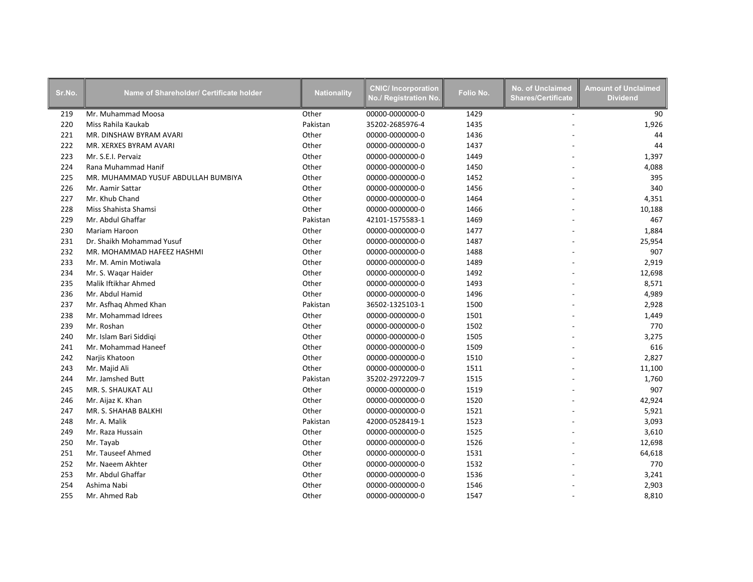| Sr.No. | Name of Shareholder/ Certificate holder | <b>Nationality</b> | <b>CNIC/Incorporation</b><br>No./ Registration No. | Folio No. | <b>No. of Unclaimed</b><br><b>Shares/Certificate</b> | <b>Amount of Unclaimed</b><br><b>Dividend</b> |
|--------|-----------------------------------------|--------------------|----------------------------------------------------|-----------|------------------------------------------------------|-----------------------------------------------|
| 219    | Mr. Muhammad Moosa                      | Other              | 00000-0000000-0                                    | 1429      | $\sim$                                               | 90                                            |
| 220    | Miss Rahila Kaukab                      | Pakistan           | 35202-2685976-4                                    | 1435      |                                                      | 1,926                                         |
| 221    | MR. DINSHAW BYRAM AVARI                 | Other              | 00000-0000000-0                                    | 1436      |                                                      | 44                                            |
| 222    | MR. XERXES BYRAM AVARI                  | Other              | 00000-0000000-0                                    | 1437      |                                                      | 44                                            |
| 223    | Mr. S.E.I. Pervaiz                      | Other              | 00000-0000000-0                                    | 1449      |                                                      | 1,397                                         |
| 224    | Rana Muhammad Hanif                     | Other              | 00000-0000000-0                                    | 1450      |                                                      | 4,088                                         |
| 225    | MR. MUHAMMAD YUSUF ABDULLAH BUMBIYA     | Other              | 00000-0000000-0                                    | 1452      |                                                      | 395                                           |
| 226    | Mr. Aamir Sattar                        | Other              | 00000-0000000-0                                    | 1456      |                                                      | 340                                           |
| 227    | Mr. Khub Chand                          | Other              | 00000-0000000-0                                    | 1464      |                                                      | 4,351                                         |
| 228    | Miss Shahista Shamsi                    | Other              | 00000-0000000-0                                    | 1466      |                                                      | 10,188                                        |
| 229    | Mr. Abdul Ghaffar                       | Pakistan           | 42101-1575583-1                                    | 1469      |                                                      | 467                                           |
| 230    | Mariam Haroon                           | Other              | 00000-0000000-0                                    | 1477      |                                                      | 1,884                                         |
| 231    | Dr. Shaikh Mohammad Yusuf               | Other              | 00000-0000000-0                                    | 1487      |                                                      | 25,954                                        |
| 232    | MR. MOHAMMAD HAFEEZ HASHMI              | Other              | 00000-0000000-0                                    | 1488      |                                                      | 907                                           |
| 233    | Mr. M. Amin Motiwala                    | Other              | 00000-0000000-0                                    | 1489      |                                                      | 2,919                                         |
| 234    | Mr. S. Wagar Haider                     | Other              | 00000-0000000-0                                    | 1492      |                                                      | 12,698                                        |
| 235    | Malik Iftikhar Ahmed                    | Other              | 00000-0000000-0                                    | 1493      |                                                      | 8,571                                         |
| 236    | Mr. Abdul Hamid                         | Other              | 00000-0000000-0                                    | 1496      |                                                      | 4,989                                         |
| 237    | Mr. Asfhaq Ahmed Khan                   | Pakistan           | 36502-1325103-1                                    | 1500      |                                                      | 2,928                                         |
| 238    | Mr. Mohammad Idrees                     | Other              | 00000-0000000-0                                    | 1501      |                                                      | 1,449                                         |
| 239    | Mr. Roshan                              | Other              | 00000-0000000-0                                    | 1502      |                                                      | 770                                           |
| 240    | Mr. Islam Bari Siddiqi                  | Other              | 00000-0000000-0                                    | 1505      |                                                      | 3,275                                         |
| 241    | Mr. Mohammad Haneef                     | Other              | 00000-0000000-0                                    | 1509      |                                                      | 616                                           |
| 242    | Narjis Khatoon                          | Other              | 00000-0000000-0                                    | 1510      |                                                      | 2,827                                         |
| 243    | Mr. Majid Ali                           | Other              | 00000-0000000-0                                    | 1511      |                                                      | 11,100                                        |
| 244    | Mr. Jamshed Butt                        | Pakistan           | 35202-2972209-7                                    | 1515      |                                                      | 1,760                                         |
| 245    | MR. S. SHAUKAT ALI                      | Other              | 00000-0000000-0                                    | 1519      |                                                      | 907                                           |
| 246    | Mr. Aijaz K. Khan                       | Other              | 00000-0000000-0                                    | 1520      |                                                      | 42,924                                        |
| 247    | MR. S. SHAHAB BALKHI                    | Other              | 00000-0000000-0                                    | 1521      |                                                      | 5,921                                         |
| 248    | Mr. A. Malik                            | Pakistan           | 42000-0528419-1                                    | 1523      |                                                      | 3,093                                         |
| 249    | Mr. Raza Hussain                        | Other              | 00000-0000000-0                                    | 1525      |                                                      | 3,610                                         |
| 250    | Mr. Tayab                               | Other              | 00000-0000000-0                                    | 1526      |                                                      | 12,698                                        |
| 251    | Mr. Tauseef Ahmed                       | Other              | 00000-0000000-0                                    | 1531      |                                                      | 64,618                                        |
| 252    | Mr. Naeem Akhter                        | Other              | 00000-0000000-0                                    | 1532      |                                                      | 770                                           |
| 253    | Mr. Abdul Ghaffar                       | Other              | 00000-0000000-0                                    | 1536      |                                                      | 3,241                                         |
| 254    | Ashima Nabi                             | Other              | 00000-0000000-0                                    | 1546      |                                                      | 2,903                                         |
| 255    | Mr. Ahmed Rab                           | Other              | 00000-0000000-0                                    | 1547      |                                                      | 8,810                                         |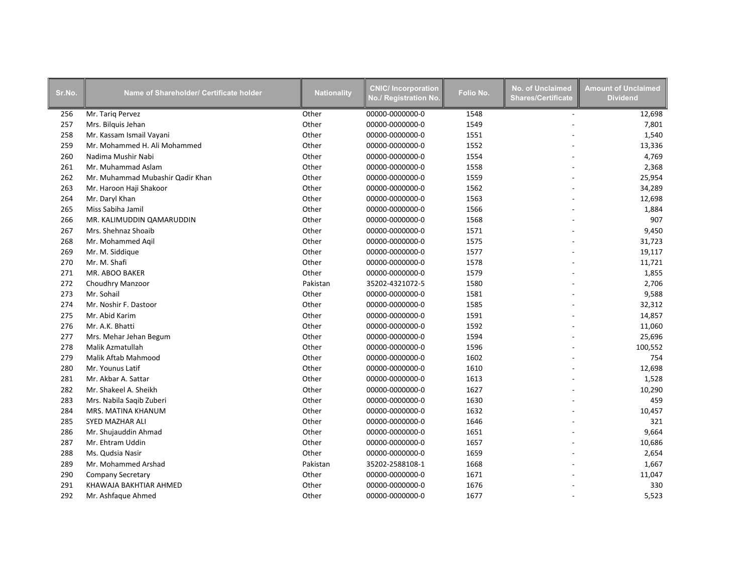| Sr.No. | Name of Shareholder/ Certificate holder | <b>Nationality</b> | <b>CNIC/Incorporation</b><br><b>No./ Registration No</b> | Folio No. | <b>No. of Unclaimed</b><br><b>Shares/Certificate</b> | <b>Amount of Unclaimed</b><br><b>Dividend</b> |
|--------|-----------------------------------------|--------------------|----------------------------------------------------------|-----------|------------------------------------------------------|-----------------------------------------------|
| 256    | Mr. Tariq Pervez                        | Other              | 00000-0000000-0                                          | 1548      | $\overline{a}$                                       | 12,698                                        |
| 257    | Mrs. Bilguis Jehan                      | Other              | 00000-0000000-0                                          | 1549      |                                                      | 7,801                                         |
| 258    | Mr. Kassam Ismail Vayani                | Other              | 00000-0000000-0                                          | 1551      |                                                      | 1,540                                         |
| 259    | Mr. Mohammed H. Ali Mohammed            | Other              | 00000-0000000-0                                          | 1552      |                                                      | 13,336                                        |
| 260    | Nadima Mushir Nabi                      | Other              | 00000-0000000-0                                          | 1554      |                                                      | 4,769                                         |
| 261    | Mr. Muhammad Aslam                      | Other              | 00000-0000000-0                                          | 1558      |                                                      | 2,368                                         |
| 262    | Mr. Muhammad Mubashir Qadir Khan        | Other              | 00000-0000000-0                                          | 1559      |                                                      | 25,954                                        |
| 263    | Mr. Haroon Haji Shakoor                 | Other              | 00000-0000000-0                                          | 1562      |                                                      | 34,289                                        |
| 264    | Mr. Daryl Khan                          | Other              | 00000-0000000-0                                          | 1563      |                                                      | 12,698                                        |
| 265    | Miss Sabiha Jamil                       | Other              | 00000-0000000-0                                          | 1566      |                                                      | 1,884                                         |
| 266    | MR. KALIMUDDIN QAMARUDDIN               | Other              | 00000-0000000-0                                          | 1568      |                                                      | 907                                           |
| 267    | Mrs. Shehnaz Shoaib                     | Other              | 00000-0000000-0                                          | 1571      |                                                      | 9,450                                         |
| 268    | Mr. Mohammed Aqil                       | Other              | 00000-0000000-0                                          | 1575      |                                                      | 31,723                                        |
| 269    | Mr. M. Siddique                         | Other              | 00000-0000000-0                                          | 1577      |                                                      | 19,117                                        |
| 270    | Mr. M. Shafi                            | Other              | 00000-0000000-0                                          | 1578      |                                                      | 11,721                                        |
| 271    | MR. ABOO BAKER                          | Other              | 00000-0000000-0                                          | 1579      |                                                      | 1,855                                         |
| 272    | <b>Choudhry Manzoor</b>                 | Pakistan           | 35202-4321072-5                                          | 1580      |                                                      | 2,706                                         |
| 273    | Mr. Sohail                              | Other              | 00000-0000000-0                                          | 1581      |                                                      | 9,588                                         |
| 274    | Mr. Noshir F. Dastoor                   | Other              | 00000-0000000-0                                          | 1585      |                                                      | 32,312                                        |
| 275    | Mr. Abid Karim                          | Other              | 00000-0000000-0                                          | 1591      |                                                      | 14,857                                        |
| 276    | Mr. A.K. Bhatti                         | Other              | 00000-0000000-0                                          | 1592      |                                                      | 11,060                                        |
| 277    | Mrs. Mehar Jehan Begum                  | Other              | 00000-0000000-0                                          | 1594      |                                                      | 25,696                                        |
| 278    | Malik Azmatullah                        | Other              | 00000-0000000-0                                          | 1596      |                                                      | 100,552                                       |
| 279    | Malik Aftab Mahmood                     | Other              | 00000-0000000-0                                          | 1602      |                                                      | 754                                           |
| 280    | Mr. Younus Latif                        | Other              | 00000-0000000-0                                          | 1610      |                                                      | 12,698                                        |
| 281    | Mr. Akbar A. Sattar                     | Other              | 00000-0000000-0                                          | 1613      |                                                      | 1,528                                         |
| 282    | Mr. Shakeel A. Sheikh                   | Other              | 00000-0000000-0                                          | 1627      |                                                      | 10,290                                        |
| 283    | Mrs. Nabila Saqib Zuberi                | Other              | 00000-0000000-0                                          | 1630      |                                                      | 459                                           |
| 284    | MRS. MATINA KHANUM                      | Other              | 00000-0000000-0                                          | 1632      |                                                      | 10,457                                        |
| 285    | SYED MAZHAR ALI                         | Other              | 00000-0000000-0                                          | 1646      |                                                      | 321                                           |
| 286    | Mr. Shujauddin Ahmad                    | Other              | 00000-0000000-0                                          | 1651      |                                                      | 9,664                                         |
| 287    | Mr. Ehtram Uddin                        | Other              | 00000-0000000-0                                          | 1657      |                                                      | 10,686                                        |
| 288    | Ms. Qudsia Nasir                        | Other              | 00000-0000000-0                                          | 1659      |                                                      | 2,654                                         |
| 289    | Mr. Mohammed Arshad                     | Pakistan           | 35202-2588108-1                                          | 1668      |                                                      | 1,667                                         |
| 290    | <b>Company Secretary</b>                | Other              | 00000-0000000-0                                          | 1671      |                                                      | 11,047                                        |
| 291    | KHAWAJA BAKHTIAR AHMED                  | Other              | 00000-0000000-0                                          | 1676      |                                                      | 330                                           |
| 292    | Mr. Ashfaque Ahmed                      | Other              | 00000-0000000-0                                          | 1677      |                                                      | 5,523                                         |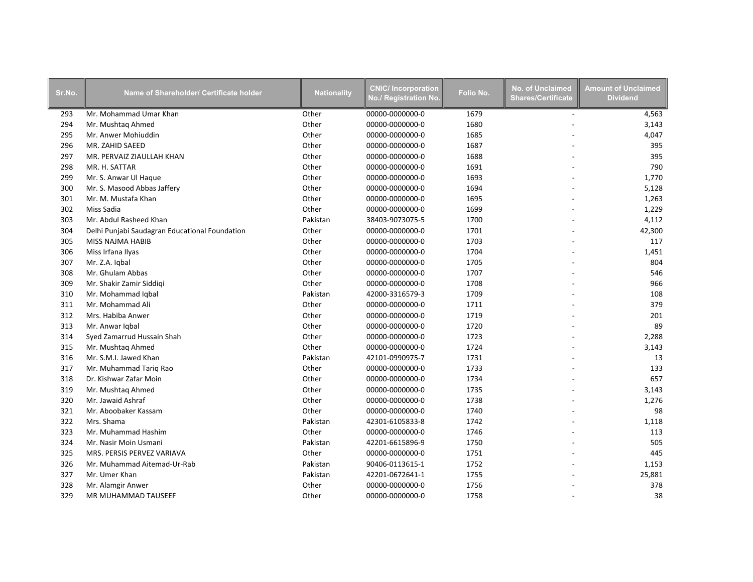| Sr.No. | Name of Shareholder/ Certificate holder        | <b>Nationality</b> | <b>CNIC/Incorporation</b><br>No./ Registration No. | Folio No. | <b>No. of Unclaimed</b><br><b>Shares/Certificate</b> | <b>Amount of Unclaimed</b><br><b>Dividend</b> |
|--------|------------------------------------------------|--------------------|----------------------------------------------------|-----------|------------------------------------------------------|-----------------------------------------------|
| 293    | Mr. Mohammad Umar Khan                         | Other              | 00000-0000000-0                                    | 1679      | $\sim$                                               | 4,563                                         |
| 294    | Mr. Mushtaq Ahmed                              | Other              | 00000-0000000-0                                    | 1680      |                                                      | 3,143                                         |
| 295    | Mr. Anwer Mohiuddin                            | Other              | 00000-0000000-0                                    | 1685      |                                                      | 4,047                                         |
| 296    | MR. ZAHID SAEED                                | Other              | 00000-0000000-0                                    | 1687      |                                                      | 395                                           |
| 297    | MR. PERVAIZ ZIAULLAH KHAN                      | Other              | 00000-0000000-0                                    | 1688      |                                                      | 395                                           |
| 298    | MR. H. SATTAR                                  | Other              | 00000-0000000-0                                    | 1691      |                                                      | 790                                           |
| 299    | Mr. S. Anwar Ul Haque                          | Other              | 00000-0000000-0                                    | 1693      |                                                      | 1,770                                         |
| 300    | Mr. S. Masood Abbas Jaffery                    | Other              | 00000-0000000-0                                    | 1694      |                                                      | 5,128                                         |
| 301    | Mr. M. Mustafa Khan                            | Other              | 00000-0000000-0                                    | 1695      |                                                      | 1,263                                         |
| 302    | Miss Sadia                                     | Other              | 00000-0000000-0                                    | 1699      |                                                      | 1,229                                         |
| 303    | Mr. Abdul Rasheed Khan                         | Pakistan           | 38403-9073075-5                                    | 1700      |                                                      | 4,112                                         |
| 304    | Delhi Punjabi Saudagran Educational Foundation | Other              | 00000-0000000-0                                    | 1701      |                                                      | 42,300                                        |
| 305    | MISS NAJMA HABIB                               | Other              | 00000-0000000-0                                    | 1703      |                                                      | 117                                           |
| 306    | Miss Irfana Ilyas                              | Other              | 00000-0000000-0                                    | 1704      |                                                      | 1,451                                         |
| 307    | Mr. Z.A. Iqbal                                 | Other              | 00000-0000000-0                                    | 1705      |                                                      | 804                                           |
| 308    | Mr. Ghulam Abbas                               | Other              | 00000-0000000-0                                    | 1707      |                                                      | 546                                           |
| 309    | Mr. Shakir Zamir Siddiqi                       | Other              | 00000-0000000-0                                    | 1708      |                                                      | 966                                           |
| 310    | Mr. Mohammad Iqbal                             | Pakistan           | 42000-3316579-3                                    | 1709      |                                                      | 108                                           |
| 311    | Mr. Mohammad Ali                               | Other              | 00000-0000000-0                                    | 1711      |                                                      | 379                                           |
| 312    | Mrs. Habiba Anwer                              | Other              | 00000-0000000-0                                    | 1719      |                                                      | 201                                           |
| 313    | Mr. Anwar Igbal                                | Other              | 00000-0000000-0                                    | 1720      |                                                      | 89                                            |
| 314    | Syed Zamarrud Hussain Shah                     | Other              | 00000-0000000-0                                    | 1723      |                                                      | 2,288                                         |
| 315    | Mr. Mushtag Ahmed                              | Other              | 00000-0000000-0                                    | 1724      |                                                      | 3,143                                         |
| 316    | Mr. S.M.I. Jawed Khan                          | Pakistan           | 42101-0990975-7                                    | 1731      |                                                      | 13                                            |
| 317    | Mr. Muhammad Tariq Rao                         | Other              | 00000-0000000-0                                    | 1733      |                                                      | 133                                           |
| 318    | Dr. Kishwar Zafar Moin                         | Other              | 00000-0000000-0                                    | 1734      |                                                      | 657                                           |
| 319    | Mr. Mushtaq Ahmed                              | Other              | 00000-0000000-0                                    | 1735      |                                                      | 3,143                                         |
| 320    | Mr. Jawaid Ashraf                              | Other              | 00000-0000000-0                                    | 1738      |                                                      | 1,276                                         |
| 321    | Mr. Aboobaker Kassam                           | Other              | 00000-0000000-0                                    | 1740      |                                                      | 98                                            |
| 322    | Mrs. Shama                                     | Pakistan           | 42301-6105833-8                                    | 1742      |                                                      | 1,118                                         |
| 323    | Mr. Muhammad Hashim                            | Other              | 00000-0000000-0                                    | 1746      |                                                      | 113                                           |
| 324    | Mr. Nasir Moin Usmani                          | Pakistan           | 42201-6615896-9                                    | 1750      |                                                      | 505                                           |
| 325    | MRS. PERSIS PERVEZ VARIAVA                     | Other              | 00000-0000000-0                                    | 1751      |                                                      | 445                                           |
| 326    | Mr. Muhammad Aitemad-Ur-Rab                    | Pakistan           | 90406-0113615-1                                    | 1752      |                                                      | 1,153                                         |
| 327    | Mr. Umer Khan                                  | Pakistan           | 42201-0672641-1                                    | 1755      |                                                      | 25,881                                        |
| 328    | Mr. Alamgir Anwer                              | Other              | 00000-0000000-0                                    | 1756      |                                                      | 378                                           |
| 329    | MR MUHAMMAD TAUSEEF                            | Other              | 00000-0000000-0                                    | 1758      |                                                      | 38                                            |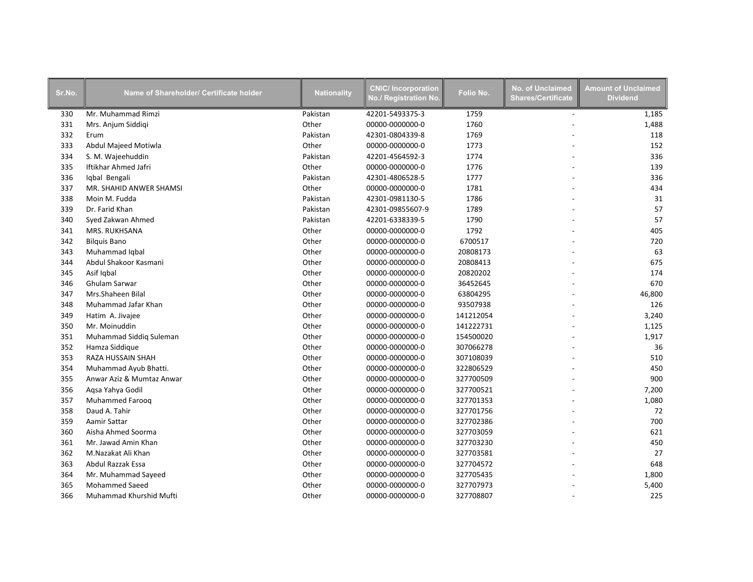| Sr.No. | Name of Shareholder/ Certificate holder | <b>Nationality</b> | <b>CNIC/Incorporation</b><br>No./ Registration No. | Folio No. | <b>No. of Unclaimed</b><br><b>Shares/Certificate</b> | <b>Amount of Unclaimed</b><br><b>Dividend</b> |
|--------|-----------------------------------------|--------------------|----------------------------------------------------|-----------|------------------------------------------------------|-----------------------------------------------|
| 330    | Mr. Muhammad Rimzi                      | Pakistan           | 42201-5493375-3                                    | 1759      | $\blacksquare$                                       | 1,185                                         |
| 331    | Mrs. Anjum Siddigi                      | Other              | 00000-0000000-0                                    | 1760      |                                                      | 1,488                                         |
| 332    | Erum                                    | Pakistan           | 42301-0804339-8                                    | 1769      |                                                      | 118                                           |
| 333    | Abdul Majeed Motiwla                    | Other              | 00000-0000000-0                                    | 1773      |                                                      | 152                                           |
| 334    | S. M. Wajeehuddin                       | Pakistan           | 42201-4564592-3                                    | 1774      |                                                      | 336                                           |
| 335    | Iftikhar Ahmed Jafri                    | Other              | 00000-0000000-0                                    | 1776      |                                                      | 139                                           |
| 336    | Iqbal Bengali                           | Pakistan           | 42301-4806528-5                                    | 1777      |                                                      | 336                                           |
| 337    | MR. SHAHID ANWER SHAMSI                 | Other              | 00000-0000000-0                                    | 1781      |                                                      | 434                                           |
| 338    | Moin M. Fudda                           | Pakistan           | 42301-0981130-5                                    | 1786      |                                                      | 31                                            |
| 339    | Dr. Farid Khan                          | Pakistan           | 42301-09855607-9                                   | 1789      |                                                      | 57                                            |
| 340    | Syed Zakwan Ahmed                       | Pakistan           | 42201-6338339-5                                    | 1790      |                                                      | 57                                            |
| 341    | MRS. RUKHSANA                           | Other              | 00000-0000000-0                                    | 1792      |                                                      | 405                                           |
| 342    | <b>Bilguis Bano</b>                     | Other              | 00000-0000000-0                                    | 6700517   |                                                      | 720                                           |
| 343    | Muhammad Iqbal                          | Other              | 00000-0000000-0                                    | 20808173  |                                                      | 63                                            |
| 344    | Abdul Shakoor Kasmani                   | Other              | 00000-0000000-0                                    | 20808413  |                                                      | 675                                           |
| 345    | Asif Iqbal                              | Other              | 00000-0000000-0                                    | 20820202  |                                                      | 174                                           |
| 346    | Ghulam Sarwar                           | Other              | 00000-0000000-0                                    | 36452645  |                                                      | 670                                           |
| 347    | Mrs.Shaheen Bilal                       | Other              | 00000-0000000-0                                    | 63804295  |                                                      | 46,800                                        |
| 348    | Muhammad Jafar Khan                     | Other              | 00000-0000000-0                                    | 93507938  |                                                      | 126                                           |
| 349    | Hatim A. Jivajee                        | Other              | 00000-0000000-0                                    | 141212054 |                                                      | 3,240                                         |
| 350    | Mr. Moinuddin                           | Other              | 00000-0000000-0                                    | 141222731 |                                                      | 1,125                                         |
| 351    | Muhammad Siddiq Suleman                 | Other              | 00000-0000000-0                                    | 154500020 |                                                      | 1,917                                         |
| 352    | Hamza Siddique                          | Other              | 00000-0000000-0                                    | 307066278 |                                                      | 36                                            |
| 353    | <b>RAZA HUSSAIN SHAH</b>                | Other              | 00000-0000000-0                                    | 307108039 |                                                      | 510                                           |
| 354    | Muhammad Ayub Bhatti.                   | Other              | 00000-0000000-0                                    | 322806529 |                                                      | 450                                           |
| 355    | Anwar Aziz & Mumtaz Anwar               | Other              | 00000-0000000-0                                    | 327700509 |                                                      | 900                                           |
| 356    | Aqsa Yahya Godil                        | Other              | 00000-0000000-0                                    | 327700521 |                                                      | 7,200                                         |
| 357    | Muhammed Farooq                         | Other              | 00000-0000000-0                                    | 327701353 |                                                      | 1,080                                         |
| 358    | Daud A. Tahir                           | Other              | 00000-0000000-0                                    | 327701756 |                                                      | 72                                            |
| 359    | Aamir Sattar                            | Other              | 00000-0000000-0                                    | 327702386 |                                                      | 700                                           |
| 360    | Aisha Ahmed Soorma                      | Other              | 00000-0000000-0                                    | 327703059 |                                                      | 621                                           |
| 361    | Mr. Jawad Amin Khan                     | Other              | 00000-0000000-0                                    | 327703230 |                                                      | 450                                           |
| 362    | M.Nazakat Ali Khan                      | Other              | 00000-0000000-0                                    | 327703581 |                                                      | 27                                            |
| 363    | Abdul Razzak Essa                       | Other              | 00000-0000000-0                                    | 327704572 |                                                      | 648                                           |
| 364    | Mr. Muhammad Sayeed                     | Other              | 00000-0000000-0                                    | 327705435 |                                                      | 1,800                                         |
| 365    | <b>Mohammed Saeed</b>                   | Other              | 00000-0000000-0                                    | 327707973 |                                                      | 5,400                                         |
| 366    | Muhammad Khurshid Mufti                 | Other              | 00000-0000000-0                                    | 327708807 |                                                      | 225                                           |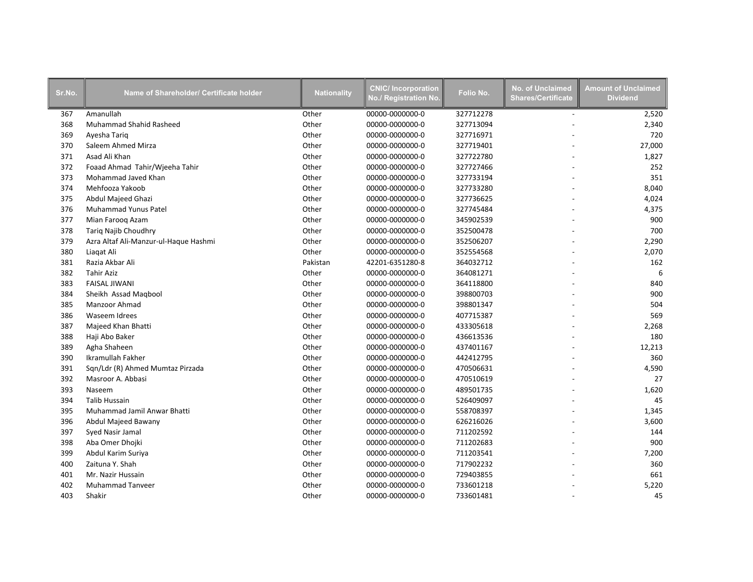| Sr.No. | Name of Shareholder/ Certificate holder | <b>Nationality</b> | <b>CNIC/Incorporation</b><br>No./ Registration No. | Folio No. | <b>No. of Unclaimed</b><br><b>Shares/Certificate</b> | <b>Amount of Unclaimed</b><br><b>Dividend</b> |
|--------|-----------------------------------------|--------------------|----------------------------------------------------|-----------|------------------------------------------------------|-----------------------------------------------|
| 367    | Amanullah                               | Other              | 00000-0000000-0                                    | 327712278 | $\overline{a}$                                       | 2,520                                         |
| 368    | Muhammad Shahid Rasheed                 | Other              | 00000-0000000-0                                    | 327713094 |                                                      | 2,340                                         |
| 369    | Ayesha Tariq                            | Other              | 00000-0000000-0                                    | 327716971 |                                                      | 720                                           |
| 370    | Saleem Ahmed Mirza                      | Other              | 00000-0000000-0                                    | 327719401 |                                                      | 27,000                                        |
| 371    | Asad Ali Khan                           | Other              | 00000-0000000-0                                    | 327722780 |                                                      | 1,827                                         |
| 372    | Foaad Ahmad Tahir/Wjeeha Tahir          | Other              | 00000-0000000-0                                    | 327727466 |                                                      | 252                                           |
| 373    | Mohammad Javed Khan                     | Other              | 00000-0000000-0                                    | 327733194 |                                                      | 351                                           |
| 374    | Mehfooza Yakoob                         | Other              | 00000-0000000-0                                    | 327733280 |                                                      | 8,040                                         |
| 375    | Abdul Majeed Ghazi                      | Other              | 00000-0000000-0                                    | 327736625 |                                                      | 4,024                                         |
| 376    | Muhammad Yunus Patel                    | Other              | 00000-0000000-0                                    | 327745484 |                                                      | 4,375                                         |
| 377    | Mian Farooq Azam                        | Other              | 00000-0000000-0                                    | 345902539 |                                                      | 900                                           |
| 378    | <b>Tariq Najib Choudhry</b>             | Other              | 00000-0000000-0                                    | 352500478 |                                                      | 700                                           |
| 379    | Azra Altaf Ali-Manzur-ul-Haque Hashmi   | Other              | 00000-0000000-0                                    | 352506207 |                                                      | 2,290                                         |
| 380    | Liagat Ali                              | Other              | 00000-0000000-0                                    | 352554568 |                                                      | 2,070                                         |
| 381    | Razia Akbar Ali                         | Pakistan           | 42201-6351280-8                                    | 364032712 |                                                      | 162                                           |
| 382    | <b>Tahir Aziz</b>                       | Other              | 00000-0000000-0                                    | 364081271 |                                                      | 6                                             |
| 383    | <b>FAISAL JIWANI</b>                    | Other              | 00000-0000000-0                                    | 364118800 |                                                      | 840                                           |
| 384    | Sheikh Assad Magbool                    | Other              | 00000-0000000-0                                    | 398800703 |                                                      | 900                                           |
| 385    | Manzoor Ahmad                           | Other              | 00000-0000000-0                                    | 398801347 |                                                      | 504                                           |
| 386    | Waseem Idrees                           | Other              | 00000-0000000-0                                    | 407715387 |                                                      | 569                                           |
| 387    | Majeed Khan Bhatti                      | Other              | 00000-0000000-0                                    | 433305618 |                                                      | 2,268                                         |
| 388    | Haji Abo Baker                          | Other              | 00000-0000000-0                                    | 436613536 |                                                      | 180                                           |
| 389    | Agha Shaheen                            | Other              | 00000-0000000-0                                    | 437401167 |                                                      | 12,213                                        |
| 390    | Ikramullah Fakher                       | Other              | 00000-0000000-0                                    | 442412795 |                                                      | 360                                           |
| 391    | Sqn/Ldr (R) Ahmed Mumtaz Pirzada        | Other              | 00000-0000000-0                                    | 470506631 |                                                      | 4,590                                         |
| 392    | Masroor A. Abbasi                       | Other              | 00000-0000000-0                                    | 470510619 |                                                      | 27                                            |
| 393    | Naseem                                  | Other              | 00000-0000000-0                                    | 489501735 |                                                      | 1,620                                         |
| 394    | <b>Talib Hussain</b>                    | Other              | 00000-0000000-0                                    | 526409097 |                                                      | 45                                            |
| 395    | Muhammad Jamil Anwar Bhatti             | Other              | 00000-0000000-0                                    | 558708397 |                                                      | 1,345                                         |
| 396    | Abdul Majeed Bawany                     | Other              | 00000-0000000-0                                    | 626216026 |                                                      | 3,600                                         |
| 397    | Syed Nasir Jamal                        | Other              | 00000-0000000-0                                    | 711202592 |                                                      | 144                                           |
| 398    | Aba Omer Dhojki                         | Other              | 00000-0000000-0                                    | 711202683 |                                                      | 900                                           |
| 399    | Abdul Karim Suriya                      | Other              | 00000-0000000-0                                    | 711203541 |                                                      | 7,200                                         |
| 400    | Zaituna Y. Shah                         | Other              | 00000-0000000-0                                    | 717902232 |                                                      | 360                                           |
| 401    | Mr. Nazir Hussain                       | Other              | 00000-0000000-0                                    | 729403855 |                                                      | 661                                           |
| 402    | <b>Muhammad Tanveer</b>                 | Other              | 00000-0000000-0                                    | 733601218 |                                                      | 5,220                                         |
| 403    | Shakir                                  | Other              | 00000-0000000-0                                    | 733601481 |                                                      | 45                                            |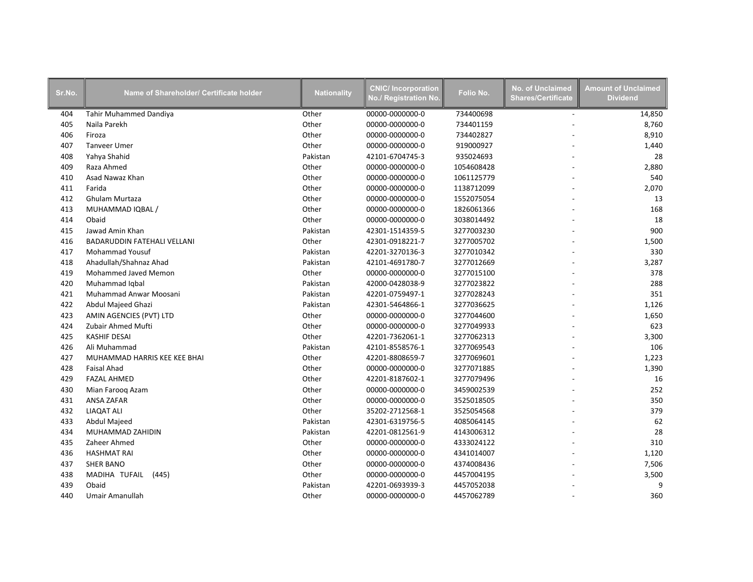| Sr.No. | Name of Shareholder/ Certificate holder | <b>Nationality</b> | <b>CNIC/Incorporation</b><br>No./ Registration No. | Folio No.  | <b>No. of Unclaimed</b><br><b>Shares/Certificate</b> | <b>Amount of Unclaimed</b><br><b>Dividend</b> |
|--------|-----------------------------------------|--------------------|----------------------------------------------------|------------|------------------------------------------------------|-----------------------------------------------|
| 404    | Tahir Muhammed Dandiya                  | Other              | 00000-0000000-0                                    | 734400698  | $\sim$                                               | 14,850                                        |
| 405    | Naila Parekh                            | Other              | 00000-0000000-0                                    | 734401159  |                                                      | 8,760                                         |
| 406    | Firoza                                  | Other              | 00000-0000000-0                                    | 734402827  |                                                      | 8,910                                         |
| 407    | <b>Tanveer Umer</b>                     | Other              | 00000-0000000-0                                    | 919000927  |                                                      | 1,440                                         |
| 408    | Yahya Shahid                            | Pakistan           | 42101-6704745-3                                    | 935024693  |                                                      | 28                                            |
| 409    | Raza Ahmed                              | Other              | 00000-0000000-0                                    | 1054608428 |                                                      | 2,880                                         |
| 410    | Asad Nawaz Khan                         | Other              | 00000-0000000-0                                    | 1061125779 |                                                      | 540                                           |
| 411    | Farida                                  | Other              | 00000-0000000-0                                    | 1138712099 |                                                      | 2,070                                         |
| 412    | Ghulam Murtaza                          | Other              | 00000-0000000-0                                    | 1552075054 |                                                      | 13                                            |
| 413    | MUHAMMAD IQBAL /                        | Other              | 00000-0000000-0                                    | 1826061366 |                                                      | 168                                           |
| 414    | Obaid                                   | Other              | 00000-0000000-0                                    | 3038014492 |                                                      | 18                                            |
| 415    | Jawad Amin Khan                         | Pakistan           | 42301-1514359-5                                    | 3277003230 |                                                      | 900                                           |
| 416    | <b>BADARUDDIN FATEHALI VELLANI</b>      | Other              | 42301-0918221-7                                    | 3277005702 |                                                      | 1,500                                         |
| 417    | <b>Mohammad Yousuf</b>                  | Pakistan           | 42201-3270136-3                                    | 3277010342 |                                                      | 330                                           |
| 418    | Ahadullah/Shahnaz Ahad                  | Pakistan           | 42101-4691780-7                                    | 3277012669 |                                                      | 3,287                                         |
| 419    | Mohammed Javed Memon                    | Other              | 00000-0000000-0                                    | 3277015100 |                                                      | 378                                           |
| 420    | Muhammad Iqbal                          | Pakistan           | 42000-0428038-9                                    | 3277023822 |                                                      | 288                                           |
| 421    | Muhammad Anwar Moosani                  | Pakistan           | 42201-0759497-1                                    | 3277028243 |                                                      | 351                                           |
| 422    | Abdul Majeed Ghazi                      | Pakistan           | 42301-5464866-1                                    | 3277036625 |                                                      | 1,126                                         |
| 423    | AMIN AGENCIES (PVT) LTD                 | Other              | 00000-0000000-0                                    | 3277044600 |                                                      | 1,650                                         |
| 424    | Zubair Ahmed Mufti                      | Other              | 00000-0000000-0                                    | 3277049933 |                                                      | 623                                           |
| 425    | <b>KASHIF DESAI</b>                     | Other              | 42201-7362061-1                                    | 3277062313 |                                                      | 3,300                                         |
| 426    | Ali Muhammad                            | Pakistan           | 42101-8558576-1                                    | 3277069543 |                                                      | 106                                           |
| 427    | MUHAMMAD HARRIS KEE KEE BHAI            | Other              | 42201-8808659-7                                    | 3277069601 |                                                      | 1,223                                         |
| 428    | <b>Faisal Ahad</b>                      | Other              | 00000-0000000-0                                    | 3277071885 |                                                      | 1,390                                         |
| 429    | <b>FAZAL AHMED</b>                      | Other              | 42201-8187602-1                                    | 3277079496 |                                                      | 16                                            |
| 430    | Mian Faroog Azam                        | Other              | 00000-0000000-0                                    | 3459002539 |                                                      | 252                                           |
| 431    | ANSA ZAFAR                              | Other              | 00000-0000000-0                                    | 3525018505 |                                                      | 350                                           |
| 432    | <b>LIAQAT ALI</b>                       | Other              | 35202-2712568-1                                    | 3525054568 |                                                      | 379                                           |
| 433    | Abdul Majeed                            | Pakistan           | 42301-6319756-5                                    | 4085064145 |                                                      | 62                                            |
| 434    | MUHAMMAD ZAHIDIN                        | Pakistan           | 42201-0812561-9                                    | 4143006312 |                                                      | 28                                            |
| 435    | Zaheer Ahmed                            | Other              | 00000-0000000-0                                    | 4333024122 |                                                      | 310                                           |
| 436    | <b>HASHMAT RAI</b>                      | Other              | 00000-0000000-0                                    | 4341014007 |                                                      | 1,120                                         |
| 437    | <b>SHER BANO</b>                        | Other              | 00000-0000000-0                                    | 4374008436 |                                                      | 7,506                                         |
| 438    | MADIHA TUFAIL<br>(445)                  | Other              | 00000-0000000-0                                    | 4457004195 |                                                      | 3,500                                         |
| 439    | Obaid                                   | Pakistan           | 42201-0693939-3                                    | 4457052038 |                                                      | 9                                             |
| 440    | Umair Amanullah                         | Other              | 00000-0000000-0                                    | 4457062789 |                                                      | 360                                           |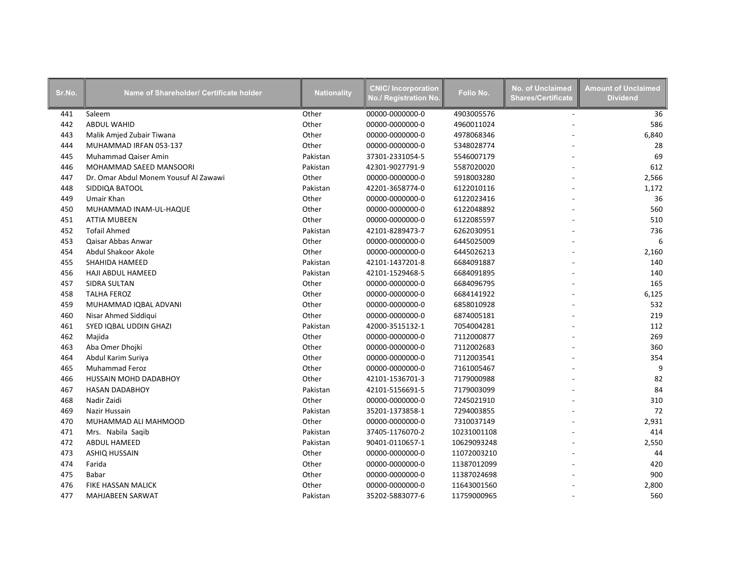| Sr.No. | Name of Shareholder/ Certificate holder | <b>Nationality</b> | <b>CNIC/Incorporation</b><br>No./ Registration No. | Folio No.   | <b>No. of Unclaimed</b><br><b>Shares/Certificate</b> | <b>Amount of Unclaimed</b><br><b>Dividend</b> |
|--------|-----------------------------------------|--------------------|----------------------------------------------------|-------------|------------------------------------------------------|-----------------------------------------------|
| 441    | Saleem                                  | Other              | 00000-0000000-0                                    | 4903005576  | $\overline{\phantom{a}}$                             | 36                                            |
| 442    | <b>ABDUL WAHID</b>                      | Other              | 00000-0000000-0                                    | 4960011024  |                                                      | 586                                           |
| 443    | Malik Amjed Zubair Tiwana               | Other              | 00000-0000000-0                                    | 4978068346  |                                                      | 6,840                                         |
| 444    | MUHAMMAD IRFAN 053-137                  | Other              | 00000-0000000-0                                    | 5348028774  |                                                      | 28                                            |
| 445    | Muhammad Qaiser Amin                    | Pakistan           | 37301-2331054-5                                    | 5546007179  |                                                      | 69                                            |
| 446    | MOHAMMAD SAEED MANSOORI                 | Pakistan           | 42301-9027791-9                                    | 5587020020  |                                                      | 612                                           |
| 447    | Dr. Omar Abdul Monem Yousuf Al Zawawi   | Other              | 00000-0000000-0                                    | 5918003280  |                                                      | 2,566                                         |
| 448    | SIDDIQA BATOOL                          | Pakistan           | 42201-3658774-0                                    | 6122010116  |                                                      | 1,172                                         |
| 449    | <b>Umair Khan</b>                       | Other              | 00000-0000000-0                                    | 6122023416  |                                                      | 36                                            |
| 450    | MUHAMMAD INAM-UL-HAQUE                  | Other              | 00000-0000000-0                                    | 6122048892  |                                                      | 560                                           |
| 451    | <b>ATTIA MUBEEN</b>                     | Other              | 00000-0000000-0                                    | 6122085597  |                                                      | 510                                           |
| 452    | <b>Tofail Ahmed</b>                     | Pakistan           | 42101-8289473-7                                    | 6262030951  |                                                      | 736                                           |
| 453    | Qaisar Abbas Anwar                      | Other              | 00000-0000000-0                                    | 6445025009  |                                                      | 6                                             |
| 454    | Abdul Shakoor Akole                     | Other              | 00000-0000000-0                                    | 6445026213  |                                                      | 2,160                                         |
| 455    | SHAHIDA HAMEED                          | Pakistan           | 42101-1437201-8                                    | 6684091887  |                                                      | 140                                           |
| 456    | <b>HAJI ABDUL HAMEED</b>                | Pakistan           | 42101-1529468-5                                    | 6684091895  |                                                      | 140                                           |
| 457    | SIDRA SULTAN                            | Other              | 00000-0000000-0                                    | 6684096795  |                                                      | 165                                           |
| 458    | <b>TALHA FEROZ</b>                      | Other              | 00000-0000000-0                                    | 6684141922  |                                                      | 6,125                                         |
| 459    | MUHAMMAD IQBAL ADVANI                   | Other              | 00000-0000000-0                                    | 6858010928  |                                                      | 532                                           |
| 460    | Nisar Ahmed Siddiqui                    | Other              | 00000-0000000-0                                    | 6874005181  |                                                      | 219                                           |
| 461    | SYED IQBAL UDDIN GHAZI                  | Pakistan           | 42000-3515132-1                                    | 7054004281  |                                                      | 112                                           |
| 462    | Majida                                  | Other              | 00000-0000000-0                                    | 7112000877  |                                                      | 269                                           |
| 463    | Aba Omer Dhojki                         | Other              | 00000-0000000-0                                    | 7112002683  |                                                      | 360                                           |
| 464    | Abdul Karim Suriya                      | Other              | 00000-0000000-0                                    | 7112003541  |                                                      | 354                                           |
| 465    | <b>Muhammad Feroz</b>                   | Other              | 00000-0000000-0                                    | 7161005467  |                                                      | 9                                             |
| 466    | HUSSAIN MOHD DADABHOY                   | Other              | 42101-1536701-3                                    | 7179000988  |                                                      | 82                                            |
| 467    | <b>HASAN DADABHOY</b>                   | Pakistan           | 42101-5156691-5                                    | 7179003099  |                                                      | 84                                            |
| 468    | Nadir Zaidi                             | Other              | 00000-0000000-0                                    | 7245021910  |                                                      | 310                                           |
| 469    | Nazir Hussain                           | Pakistan           | 35201-1373858-1                                    | 7294003855  |                                                      | 72                                            |
| 470    | MUHAMMAD ALI MAHMOOD                    | Other              | 00000-0000000-0                                    | 7310037149  |                                                      | 2,931                                         |
| 471    | Mrs. Nabila Saqib                       | Pakistan           | 37405-1176070-2                                    | 10231001108 |                                                      | 414                                           |
| 472    | <b>ABDUL HAMEED</b>                     | Pakistan           | 90401-0110657-1                                    | 10629093248 |                                                      | 2,550                                         |
| 473    | ASHIQ HUSSAIN                           | Other              | 00000-0000000-0                                    | 11072003210 |                                                      | 44                                            |
| 474    | Farida                                  | Other              | 00000-0000000-0                                    | 11387012099 |                                                      | 420                                           |
| 475    | Babar                                   | Other              | 00000-0000000-0                                    | 11387024698 |                                                      | 900                                           |
| 476    | FIKE HASSAN MALICK                      | Other              | 00000-0000000-0                                    | 11643001560 |                                                      | 2,800                                         |
| 477    | MAHJABEEN SARWAT                        | Pakistan           | 35202-5883077-6                                    | 11759000965 |                                                      | 560                                           |